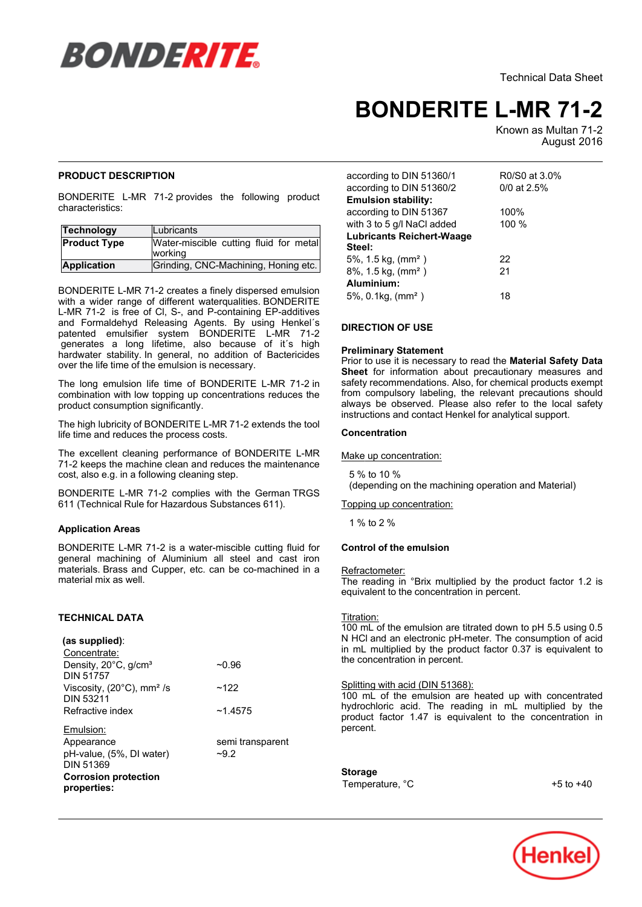

Technical Data Sheet

# **BONDERITE L-MR 71-2**

Known as Multan 71-2 August-2016

# **PRODUCT DESCRIPTION**

BONDERITE L-MR 71-2 provides the following product characteristics:

| Technology          | Lubricants                                        |  |
|---------------------|---------------------------------------------------|--|
| <b>Product Type</b> | Water-miscible cutting fluid for metal<br>working |  |
| <b>Application</b>  | Grinding, CNC-Machining, Honing etc.              |  |

BONDERITE L-MR 71-2 creates a finely dispersed emulsion with a wider range of different waterqualities. BONDERITE L-MR 71-2 is free of Cl, S-, and P-containing EP-additives and Formaldehyd Releasing Agents. By using Henkel´s patented emulsifier system BONDERITE L-MR 71-2 generates a long lifetime, also because of it´s high hardwater stability. In general, no addition of Bactericides over the life time of the emulsion is necessary.

The long emulsion life time of BONDERITE L-MR 71-2 in combination with low topping up concentrations reduces the combination with low topping up \times<br>product consumption significantly.

The high lubricity of BONDERITE L-MR 71-2 extends the tool I'll incomplete the process costs.

The excellent cleaning performance of BONDERITE L-MR The executive dealing performance or BONBERTHE E-MIN<br>71-2 keeps the machine clean and reduces the maintenance cost, also e.g. in a following cleaning step.

BONDERITE L-MR 71-2 complies with the German TRGS 611 (Technical Rule for Hazardous Substances 611).

# **Application Areas**

BONDERITE L-MR 71-2 is a water-miscible cutting fluid for general machining of Aluminium all steel and cast iron materials. Brass and Cupper, etc. can be co-machined in a materials. Brass and<br>material mix as well.

# **TECHNICAL DATA**

| (as supplied):<br>Concentrate:                                   |                            |
|------------------------------------------------------------------|----------------------------|
| Density, 20°C, g/cm <sup>3</sup><br><b>DIN 51757</b>             | $-0.96$                    |
| Viscosity, $(20^{\circ}C)$ , mm <sup>2</sup> /s<br>DIN 53211     | ~122                       |
| Refractive index                                                 | ~14575                     |
| Emulsion:<br>Appearance<br>pH-value, (5%, DI water)<br>DIN 51369 | semi transparent<br>$-9.2$ |
| <b>Corrosion protection</b><br>properties:                       |                            |

| according to DIN 51360/1           | R0/S0 at 3.0% |  |  |  |
|------------------------------------|---------------|--|--|--|
| according to DIN 51360/2           | $0/0$ at 2.5% |  |  |  |
| <b>Emulsion stability:</b>         |               |  |  |  |
| according to DIN 51367             | 100%          |  |  |  |
| with 3 to 5 g/l NaCl added         | 100 %         |  |  |  |
| <b>Lubricants Reichert-Waage</b>   |               |  |  |  |
| Steel:                             |               |  |  |  |
| $5\%$ , 1.5 kg, (mm <sup>2</sup> ) | 22            |  |  |  |
| 8%, 1.5 kg, (mm <sup>2</sup> )     | 21            |  |  |  |
| Aluminium:                         |               |  |  |  |
| $5\%$ , 0.1kg, (mm <sup>2</sup> )  | 18            |  |  |  |

# **DIRECTION OF USE**

# **Preliminary Statement**

Prior to use it is necessary to read the **Material Safety Data Sheet** for information about precautionary measures and safety recommendations. Also, for chemical products exempt salety recommendations. Also, for chemical products exempt<br>from compulsory labeling, the relevant precautions should always be observed. Please also refer to the local safety instructions and contact Henkel for analytical support.

#### **Concentration**

Make up concentration:

 5 % to 10 % (depending on the machining operation and Material)

# Topping up concentration:

1 % to 2 %

# **Control of the emulsion**

#### Refractometer:

**<u>Refractometer:</u>**<br>The reading in °Brix multiplied by the product factor 1.2 is The redding in Enx mampled by the product to the concentration in percent.

#### Titration:

100 mL of the emulsion are titrated down to pH 5.5 using 0.5 N HCl and an electronic pH-meter. The consumption of acid in mL multiplied by the product factor 0.37 is equivalent to If the maliphed by the product the concentration in percent.

# Splitting with acid (DIN 51368):

100 mL of the emulsion are heated up with concentrated hydrochloric acid. The reading in mL multiplied by the product factor 1.47 is equivalent to the concentration in product<br>percent.

## **Storage** Temperature, °C

 $+5$  to  $+40$